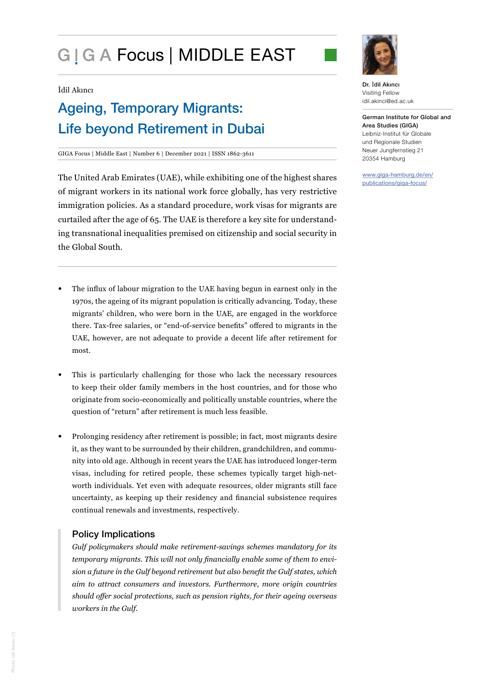# G | G A Focus | MIDDLE EAST

#### İdil Akıncı

## Ageing, Temporary Migrants: Life beyond Retirement in Dubai

GIGA Focus | Middle East | Number 6 | December 2021 | ISSN 1862-3611

The United Arab Emirates (UAE), while exhibiting one of the highest shares of migrant workers in its national work force globally, has very restrictive immigration policies. As a standard procedure, work visas for migrants are curtailed after the age of 65. The UAE is therefore a key site for understanding transnational inequalities premised on citizenship and social security in the Global South.

- The influx of labour migration to the UAE having begun in earnest only in the 1970s, the ageing of its migrant population is critically advancing. Today, these migrants' children, who were born in the UAE, are engaged in the workforce there. Tax-free salaries, or "end-of-service benefits" offered to migrants in the UAE, however, are not adequate to provide a decent life after retirement for most.
- This is particularly challenging for those who lack the necessary resources to keep their older family members in the host countries, and for those who originate from socio-economically and politically unstable countries, where the question of "return" after retirement is much less feasible.
- Prolonging residency after retirement is possible; in fact, most migrants desire it, as they want to be surrounded by their children, grandchildren, and community into old age. Although in recent years the UAE has introduced longer-term visas, including for retired people, these schemes typically target high-networth individuals. Yet even with adequate resources, older migrants still face uncertainty, as keeping up their residency and financial subsistence requires continual renewals and investments, respectively.

#### Policy Implications

*Gulf policymakers should make retirement-savings schemes mandatory for its temporary migrants. This will not only financially enable some of them to envision a future in the Gulf beyond retirement but also benefit the Gulf states, which aim to attract consumers and investors. Furthermore, more origin countries should offer social protections, such as pension rights, for their ageing overseas workers in the Gulf.* 



Dr. İdil Akıncı Visiting Fellow idil.akinci@ed.ac.uk

German Institute for Global and Area Studies (GIGA) Leibniz-Institut für Globale und Regionale Studien Neuer Jungfernstieg 21 20354 Hamburg

www.giga-hamburg.de/en/ publications/giga-focus/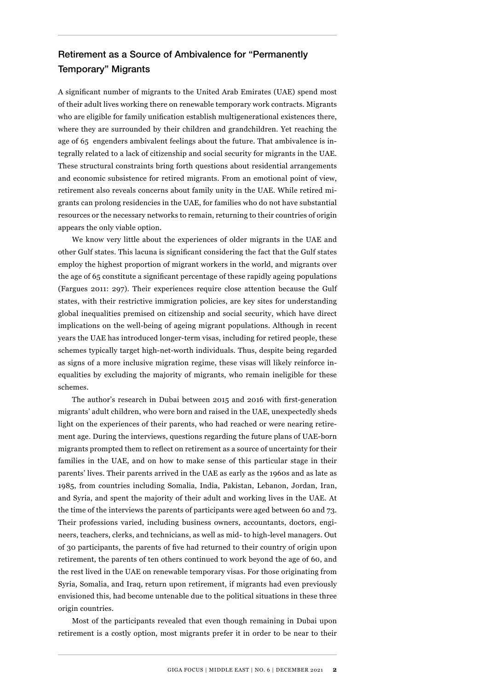### Retirement as a Source of Ambivalence for "Permanently Temporary" Migrants

A significant number of migrants to the United Arab Emirates (UAE) spend most of their adult lives working there on renewable temporary work contracts. Migrants who are eligible for family unification establish multigenerational existences there, where they are surrounded by their children and grandchildren. Yet reaching the age of 65 engenders ambivalent feelings about the future. That ambivalence is integrally related to a lack of citizenship and social security for migrants in the UAE. These structural constraints bring forth questions about residential arrangements and economic subsistence for retired migrants. From an emotional point of view, retirement also reveals concerns about family unity in the UAE. While retired migrants can prolong residencies in the UAE, for families who do not have substantial resources or the necessary networks to remain, returning to their countries of origin appears the only viable option.

We know very little about the experiences of older migrants in the UAE and other Gulf states. This lacuna is significant considering the fact that the Gulf states employ the highest proportion of migrant workers in the world, and migrants over the age of 65 constitute a significant percentage of these rapidly ageing populations (Fargues 2011: 297). Their experiences require close attention because the Gulf states, with their restrictive immigration policies, are key sites for understanding global inequalities premised on citizenship and social security, which have direct implications on the well-being of ageing migrant populations. Although in recent years the UAE has introduced longer-term visas, including for retired people, these schemes typically target high-net-worth individuals. Thus, despite being regarded as signs of a more inclusive migration regime, these visas will likely reinforce inequalities by excluding the majority of migrants, who remain ineligible for these schemes.

The author's research in Dubai between 2015 and 2016 with first-generation migrants' adult children, who were born and raised in the UAE, unexpectedly sheds light on the experiences of their parents, who had reached or were nearing retirement age. During the interviews, questions regarding the future plans of UAE-born migrants prompted them to reflect on retirement as a source of uncertainty for their families in the UAE, and on how to make sense of this particular stage in their parents' lives. Their parents arrived in the UAE as early as the 1960s and as late as 1985, from countries including Somalia, India, Pakistan, Lebanon, Jordan, Iran, and Syria, and spent the majority of their adult and working lives in the UAE. At the time of the interviews the parents of participants were aged between 60 and 73. Their professions varied, including business owners, accountants, doctors, engineers, teachers, clerks, and technicians, as well as mid- to high-level managers. Out of 30 participants, the parents of five had returned to their country of origin upon retirement, the parents of ten others continued to work beyond the age of 60, and the rest lived in the UAE on renewable temporary visas. For those originating from Syria, Somalia, and Iraq, return upon retirement, if migrants had even previously envisioned this, had become untenable due to the political situations in these three origin countries.

Most of the participants revealed that even though remaining in Dubai upon retirement is a costly option, most migrants prefer it in order to be near to their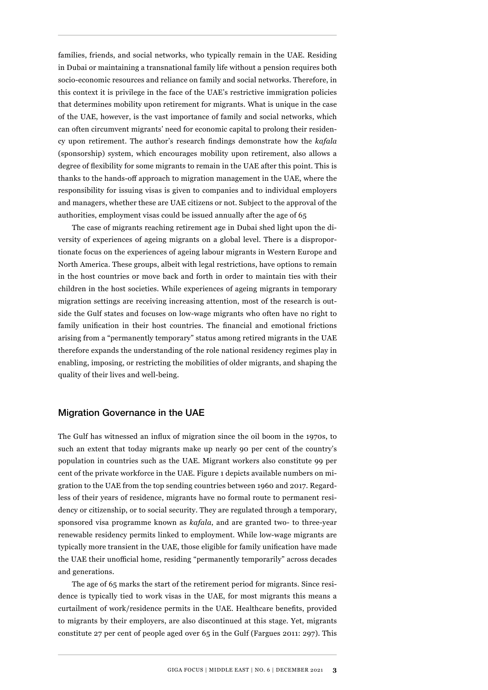families, friends, and social networks, who typically remain in the UAE. Residing in Dubai or maintaining a transnational family life without a pension requires both socio-economic resources and reliance on family and social networks. Therefore, in this context it is privilege in the face of the UAE's restrictive immigration policies that determines mobility upon retirement for migrants. What is unique in the case of the UAE, however, is the vast importance of family and social networks, which can often circumvent migrants' need for economic capital to prolong their residency upon retirement. The author's research findings demonstrate how the *kafala* (sponsorship) system, which encourages mobility upon retirement, also allows a degree of flexibility for some migrants to remain in the UAE after this point. This is thanks to the hands-off approach to migration management in the UAE, where the responsibility for issuing visas is given to companies and to individual employers and managers, whether these are UAE citizens or not. Subject to the approval of the authorities, employment visas could be issued annually after the age of 65

The case of migrants reaching retirement age in Dubai shed light upon the diversity of experiences of ageing migrants on a global level. There is a disproportionate focus on the experiences of ageing labour migrants in Western Europe and North America. These groups, albeit with legal restrictions, have options to remain in the host countries or move back and forth in order to maintain ties with their children in the host societies. While experiences of ageing migrants in temporary migration settings are receiving increasing attention, most of the research is outside the Gulf states and focuses on low-wage migrants who often have no right to family unification in their host countries. The financial and emotional frictions arising from a "permanently temporary" status among retired migrants in the UAE therefore expands the understanding of the role national residency regimes play in enabling, imposing, or restricting the mobilities of older migrants, and shaping the quality of their lives and well-being.

#### Migration Governance in the UAE

The Gulf has witnessed an influx of migration since the oil boom in the 1970s, to such an extent that today migrants make up nearly 90 per cent of the country's population in countries such as the UAE. Migrant workers also constitute 99 per cent of the private workforce in the UAE. Figure 1 depicts available numbers on migration to the UAE from the top sending countries between 1960 and 2017. Regardless of their years of residence, migrants have no formal route to permanent residency or citizenship, or to social security. They are regulated through a temporary, sponsored visa programme known as *kafala*, and are granted two- to three-year renewable residency permits linked to employment. While low-wage migrants are typically more transient in the UAE, those eligible for family unification have made the UAE their unofficial home, residing "permanently temporarily" across decades and generations.

The age of 65 marks the start of the retirement period for migrants. Since residence is typically tied to work visas in the UAE, for most migrants this means a curtailment of work/residence permits in the UAE. Healthcare benefits, provided to migrants by their employers, are also discontinued at this stage. Yet, migrants constitute 27 per cent of people aged over 65 in the Gulf (Fargues 2011: 297). This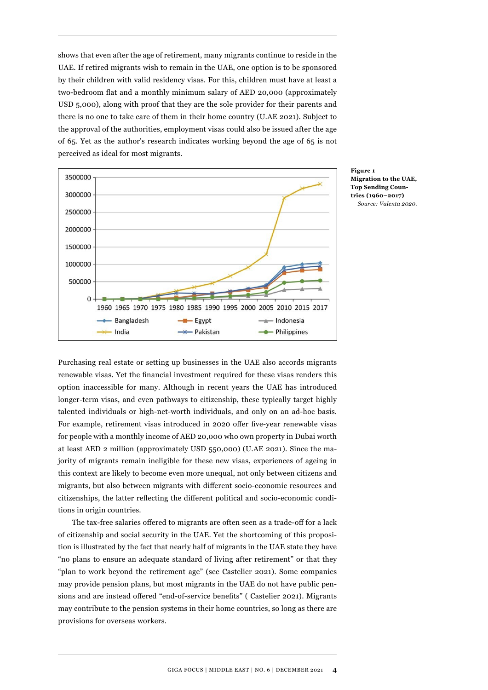shows that even after the age of retirement, many migrants continue to reside in the UAE. If retired migrants wish to remain in the UAE, one option is to be sponsored by their children with valid residency visas. For this, children must have at least a two-bedroom flat and a monthly minimum salary of AED 20,000 (approximately USD 5,000), along with proof that they are the sole provider for their parents and there is no one to take care of them in their home country (U.AE 2021). Subject to the approval of the authorities, employment visas could also be issued after the age of 65. Yet as the author's research indicates working beyond the age of 65 is not perceived as ideal for most migrants.



**Figure 1 Migration to the UAE, Top Sending Countries (1960–2017)** *Source: Valenta 2020.*

Purchasing real estate or setting up businesses in the UAE also accords migrants renewable visas. Yet the financial investment required for these visas renders this option inaccessible for many. Although in recent years the UAE has introduced longer-term visas, and even pathways to citizenship, these typically target highly talented individuals or high-net-worth individuals, and only on an ad-hoc basis. For example, retirement visas introduced in 2020 offer five-year renewable visas for people with a monthly income of AED 20,000 who own property in Dubai worth at least AED 2 million (approximately USD 550,000) (U.AE 2021). Since the majority of migrants remain ineligible for these new visas, experiences of ageing in this context are likely to become even more unequal, not only between citizens and migrants, but also between migrants with different socio-economic resources and citizenships, the latter reflecting the different political and socio-economic conditions in origin countries.

The tax-free salaries offered to migrants are often seen as a trade-off for a lack of citizenship and social security in the UAE. Yet the shortcoming of this proposition is illustrated by the fact that nearly half of migrants in the UAE state they have "no plans to ensure an adequate [standard of living after retirement](https://www.me.mercer.com/newsroom/half-of-UAE-expats-have-no-plans-for-financial-security-post-retirement.html)" or that they "plan to work beyond the retirement age" (see Castelier 2021). Some companies may provide pension plans, but most migrants in the UAE do not have public pensions and are instead offered "end-of-service benefits" ( Castelier 2021). Migrants may contribute to the pension systems in their home countries, so long as there are provisions for overseas workers.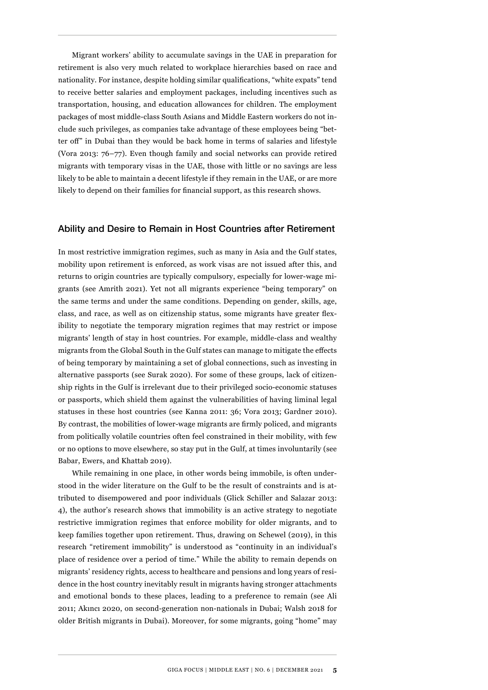Migrant workers' ability to accumulate savings in the UAE in preparation for retirement is also very much related to workplace hierarchies based on race and nationality. For instance, despite holding similar qualifications, "white expats" tend to receive better salaries and employment packages, including incentives such as transportation, housing, and education allowances for children. The employment packages of most middle-class South Asians and Middle Eastern workers do not include such privileges, as companies take advantage of these employees being "better off" in Dubai than they would be back home in terms of salaries and lifestyle (Vora 2013: 76–77). Even though family and social networks can provide retired migrants with temporary visas in the UAE, those with little or no savings are less likely to be able to maintain a decent lifestyle if they remain in the UAE, or are more likely to depend on their families for financial support, as this research shows.

#### Ability and Desire to Remain in Host Countries after Retirement

In most restrictive immigration regimes, such as many in Asia and the Gulf states, mobility upon retirement is enforced, as work visas are not issued after this, and returns to origin countries are typically compulsory, especially for lower-wage migrants (see Amrith 2021). Yet not all migrants experience "being temporary" on the same terms and under the same conditions. Depending on gender, skills, age, class, and race, as well as on citizenship status, some migrants have greater flexibility to negotiate the temporary migration regimes that may restrict or impose migrants' length of stay in host countries. For example, middle-class and wealthy migrants from the Global South in the Gulf states can manage to mitigate the effects of being temporary by maintaining a set of global connections, such as investing in alternative passports (see Surak 2020). For some of these groups, lack of citizenship rights in the Gulf is irrelevant due to their privileged socio-economic statuses or passports, which shield them against the vulnerabilities of having liminal legal statuses in these host countries (see Kanna 2011: 36; Vora 2013; Gardner 2010). By contrast, the mobilities of lower-wage migrants are firmly policed, and migrants from politically volatile countries often feel constrained in their mobility, with few or no options to move elsewhere, so stay put in the Gulf, at times involuntarily (see Babar, Ewers, and Khattab 2019).

While remaining in one place, in other words being immobile, is often understood in the wider literature on the Gulf to be the result of constraints and is attributed to disempowered and poor individuals (Glick Schiller and Salazar 2013: 4), the author's research shows that immobility is an active strategy to negotiate restrictive immigration regimes that enforce mobility for older migrants, and to keep families together upon retirement. Thus, drawing on Schewel (2019), in this research "retirement immobility" is understood as "continuity in an individual's place of residence over a period of time." While the ability to remain depends on migrants' residency rights, access to healthcare and pensions and long years of residence in the host country inevitably result in migrants having stronger attachments and emotional bonds to these places, leading to a preference to remain (see Ali 2011; Akıncı 2020, on second-generation non-nationals in Dubai; Walsh 2018 for older British migrants in Dubai). Moreover, for some migrants, going "home" may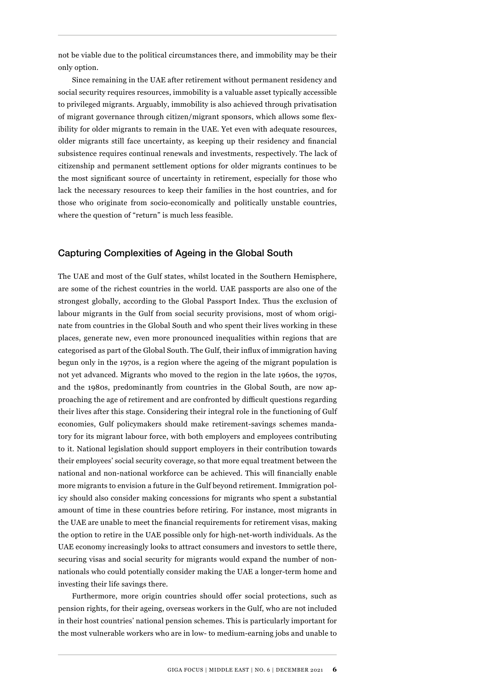not be viable due to the political circumstances there, and immobility may be their only option.

Since remaining in the UAE after retirement without permanent residency and social security requires resources, immobility is a valuable asset typically accessible to privileged migrants. Arguably, immobility is also achieved through privatisation of migrant governance through citizen/migrant sponsors, which allows some flexibility for older migrants to remain in the UAE. Yet even with adequate resources, older migrants still face uncertainty, as keeping up their residency and financial subsistence requires continual renewals and investments, respectively. The lack of citizenship and permanent settlement options for older migrants continues to be the most significant source of uncertainty in retirement, especially for those who lack the necessary resources to keep their families in the host countries, and for those who originate from socio-economically and politically unstable countries, where the question of "return" is much less feasible.

#### Capturing Complexities of Ageing in the Global South

The UAE and most of the Gulf states, whilst located in the Southern Hemisphere, are some of the richest countries in the world. UAE passports are also one of the strongest globally, according to the Global Passport Index. Thus the exclusion of labour migrants in the Gulf from social security provisions, most of whom originate from countries in the Global South and who spent their lives working in these places, generate new, even more pronounced inequalities within regions that are categorised as part of the Global South. The Gulf, their influx of immigration having begun only in the 1970s, is a region where the ageing of the migrant population is not yet advanced. Migrants who moved to the region in the late 1960s, the 1970s, and the 1980s, predominantly from countries in the Global South, are now approaching the age of retirement and are confronted by difficult questions regarding their lives after this stage. Considering their integral role in the functioning of Gulf economies, Gulf policymakers should make retirement-savings schemes mandatory for its migrant labour force, with both employers and employees contributing to it. National legislation should support employers in their contribution towards their employees' social security coverage, so that more equal treatment between the national and non-national workforce can be achieved. This will financially enable more migrants to envision a future in the Gulf beyond retirement. Immigration policy should also consider making concessions for migrants who spent a substantial amount of time in these countries before retiring. For instance, most migrants in the UAE are unable to meet the financial requirements for retirement visas, making the option to retire in the UAE possible only for high-net-worth individuals. As the UAE economy increasingly looks to attract consumers and investors to settle there, securing visas and social security for migrants would expand the number of nonnationals who could potentially consider making the UAE a longer-term home and investing their life savings there.

Furthermore, more origin countries should offer social protections, such as pension rights, for their ageing, overseas workers in the Gulf, who are not included in their host countries' national pension schemes. This is particularly important for the most vulnerable workers who are in low- to medium-earning jobs and unable to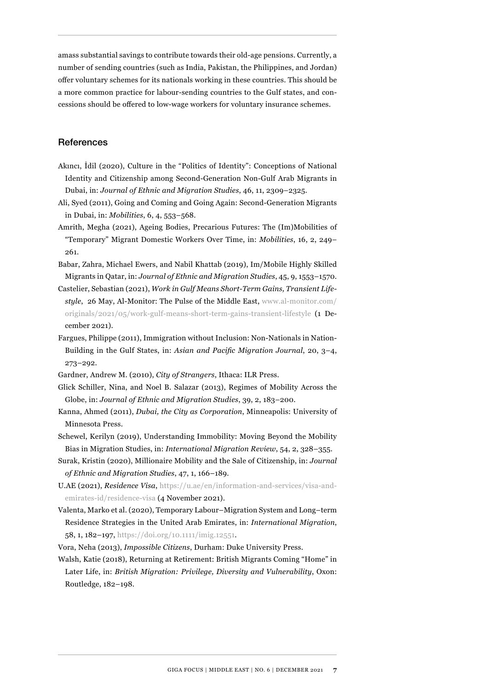amass substantial savings to contribute towards their old-age pensions. Currently, a number of sending countries (such as India, Pakistan, the Philippines, and Jordan) offer voluntary schemes for its nationals working in these countries. This should be a more common practice for labour-sending countries to the Gulf states, and concessions should be offered to low-wage workers for voluntary insurance schemes.

#### **References**

- Akıncı, İdil (2020), Culture in the "Politics of Identity": Conceptions of National Identity and Citizenship among Second-Generation Non-Gulf Arab Migrants in Dubai, in: *Journal of Ethnic and Migration Studies*, 46, 11, 2309–2325.
- Ali, Syed (2011), Going and Coming and Going Again: Second-Generation Migrants in Dubai, in: *Mobilities*, 6, 4, 553–568.
- Amrith, Megha (2021), Ageing Bodies, Precarious Futures: The (Im)Mobilities of "Temporary" Migrant Domestic Workers Over Time, in: *Mobilities*, 16, 2, 249– 261.
- Babar, Zahra, Michael Ewers, and Nabil Khattab (2019), Im/Mobile Highly Skilled Migrants in Qatar, in: *Journal of Ethnic and Migration Studies*, 45, 9, 1553–1570.
- Castelier, Sebastian (2021), *Work in Gulf Means Short-Term Gains, Transient Lifestyle*, 26 May, Al-Monitor: The Pulse of the Middle East, [www.al-monitor.com/](https://www.al-monitor.com/originals/2021/05/work-gulf-means-short-term-gains-transient-lifestyle) [originals/2021/05/work-gulf-means-short-term-gains-transient-lifestyle](https://www.al-monitor.com/originals/2021/05/work-gulf-means-short-term-gains-transient-lifestyle) (1 December 2021).
- Fargues, Philippe (2011), Immigration without Inclusion: Non-Nationals in Nation-Building in the Gulf States, in: *Asian and Pacific Migration Journal*, 20, 3–4, 273–292.
- Gardner, Andrew M. (2010), *City of Strangers*, Ithaca: ILR Press.
- Glick Schiller, Nina, and Noel B. Salazar (2013), Regimes of Mobility Across the Globe, in: *Journal of Ethnic and Migration Studies*, 39, 2, 183–200.
- Kanna, Ahmed (2011), *Dubai, the City as Corporation*, Minneapolis: University of Minnesota Press.
- Schewel, Kerilyn (2019), Understanding Immobility: Moving Beyond the Mobility Bias in Migration Studies, in: *International Migration Review*, 54, 2, 328–355.
- Surak, Kristin (2020), Millionaire Mobility and the Sale of Citizenship, in: *Journal of Ethnic and Migration Studies*, 47, 1, 166–189.
- U.AE (2021), *Residence Visa*, [https://u.ae/en/information-and-services/visa-and](https://u.ae/en/information-and-services/visa-and-emirates-id/residence-visa)[emirates-id/residence-visa](https://u.ae/en/information-and-services/visa-and-emirates-id/residence-visa) (4 November 2021).
- Valenta, Marko et al. (2020), Temporary Labour–Migration System and Long–term Residence Strategies in the United Arab Emirates, in: *International Migration*, 58, 1, 182–197, <https://doi.org/10.1111/imig.12551>.
- Vora, Neha (2013), *Impossible Citizens*, Durham: Duke University Press.
- Walsh, Katie (2018), Returning at Retirement: British Migrants Coming "Home" in Later Life, in: *British Migration: Privilege, Diversity and Vulnerability*, Oxon: Routledge, 182–198.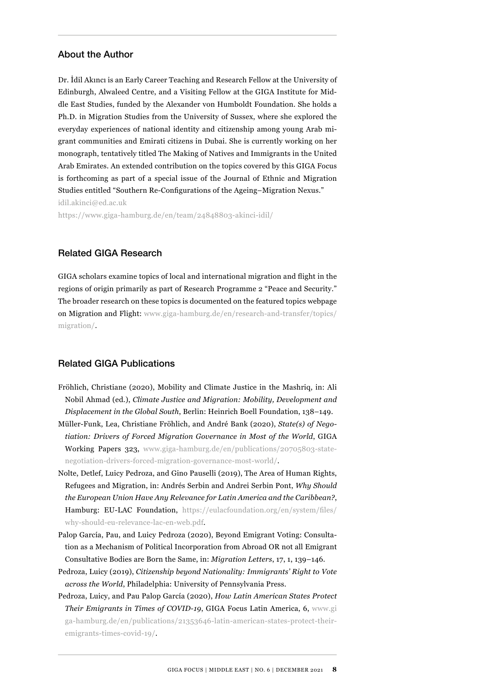#### About the Author

Dr. İdil Akıncı is an Early Career Teaching and Research Fellow at the University of Edinburgh, Alwaleed Centre, and a Visiting Fellow at the GIGA Institute for Middle East Studies, funded by the Alexander von Humboldt Foundation. She holds a Ph.D. in Migration Studies from the University of Sussex, where she explored the everyday experiences of national identity and citizenship among young Arab migrant communities and Emirati citizens in Dubai. She is currently working on her monograph, tentatively titled The Making of Natives and Immigrants in the United Arab Emirates. An extended contribution on the topics covered by this GIGA Focus is forthcoming as part of a special issue of the Journal of Ethnic and Migration Studies entitled "Southern Re-Configurations of the Ageing–Migration Nexus." idil.akinci@ed.ac.uk

<https://www.giga-hamburg.de/en/team/24848803-akinci-idil/>

#### Related GIGA Research

GIGA scholars examine topics of local and international migration and flight in the regions of origin primarily as part of Research Programme 2 "Peace and Security." The broader research on these topics is documented on the featured topics webpage on Migration and Flight: [www.giga-hamburg.de/en/research-and-transfer/topics/](https://www.giga-hamburg.de/en/research-and-transfer/topics/migration/) [migration/.](https://www.giga-hamburg.de/en/research-and-transfer/topics/migration/)

#### Related GIGA Publications

- Fröhlich, Christiane (2020), Mobility and Climate Justice in the Mashriq, in: Ali Nobil Ahmad (ed.), *Climate Justice and Migration: Mobility, Development and Displacement in the Global South*, Berlin: Heinrich Boell Foundation, 138–149.
- Müller-Funk, Lea, Christiane Fröhlich, and André Bank (2020), *State(s) of Negotiation: Drivers of Forced Migration Governance in Most of the World*, GIGA Working Papers 323, [www.giga-hamburg.de/en/publications/20705803-state](https://www.giga-hamburg.de/en/publications/20705803-state-negotiation-drivers-forced-migration-governance-most-world/)[negotiation-drivers-forced-migration-governance-most-world/.](https://www.giga-hamburg.de/en/publications/20705803-state-negotiation-drivers-forced-migration-governance-most-world/)
- Nolte, Detlef, Luicy Pedroza, and Gino Pauselli (2019), The Area of Human Rights, Refugees and Migration, in: Andrés Serbin and Andrei Serbin Pont, *Why Should the European Union Have Any Relevance for Latin America and the Caribbean?*, Hamburg: EU-LAC Foundation, [https://eulacfoundation.org/en/system/files/](https://eulacfoundation.org/en/system/files/why-should-eu-relevance-lac-en-web.pdf) [why-should-eu-relevance-lac-en-web.pdf](https://eulacfoundation.org/en/system/files/why-should-eu-relevance-lac-en-web.pdf).
- [Palop García, Pau,](https://www.ssoar.info/ssoar/discover?filtertype=author&filter_relational_operator=equals&filter=Palop-Garc%C3%ADa%2C+Pau) and Luicy [Pedroza](https://www.ssoar.info/ssoar/discover?filtertype=author&filter_relational_operator=equals&filter=Pedroza%2C+Luicy) (2020), Beyond Emigrant Voting: Consultation as a Mechanism of Political Incorporation from Abroad OR not all Emigrant Consultative Bodies are Born the Same, in: *[Migration Letters](https://www.ssoar.info/ssoar/discover?filtertype=journal&filter_relational_operator=equals&filter=Migration+Letters)*, 17, 1, 139–146.
- Pedroza, Luicy (2019), *Citizenship beyond Nationality: Immigrants' Right to Vote across the World*, Philadelphia: University of Pennsylvania Press.
- Pedroza, Luicy, and Pau Palop García (2020), *How Latin American States Protect Their Emigrants in Times of COVID-19*, GIGA Focus Latin America, 6, [www.gi](https://www.giga-hamburg.de/en/publications/21353646-latin-american-states-protect-their-emigrants-times-covid-19/) [ga-hamburg.de/en/publications/21353646-latin-american-states-protect-their](https://www.giga-hamburg.de/en/publications/21353646-latin-american-states-protect-their-emigrants-times-covid-19/)[emigrants-times-covid-19/.](https://www.giga-hamburg.de/en/publications/21353646-latin-american-states-protect-their-emigrants-times-covid-19/)